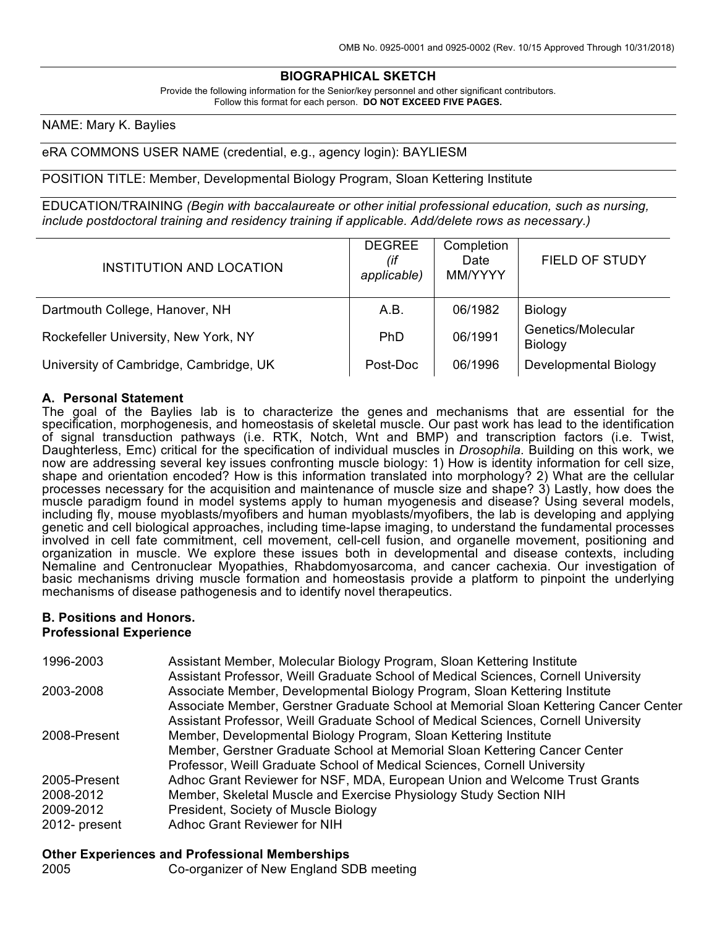## **BIOGRAPHICAL SKETCH**

Provide the following information for the Senior/key personnel and other significant contributors. Follow this format for each person. **DO NOT EXCEED FIVE PAGES.**

#### NAME: Mary K. Baylies

#### eRA COMMONS USER NAME (credential, e.g., agency login): BAYLIESM

#### POSITION TITLE: Member, Developmental Biology Program, Sloan Kettering Institute

EDUCATION/TRAINING *(Begin with baccalaureate or other initial professional education, such as nursing, include postdoctoral training and residency training if applicable. Add/delete rows as necessary.)*

| INSTITUTION AND LOCATION               | <b>DEGREE</b><br>(if<br>applicable) | Completion<br>Date<br>MM/YYYY | <b>FIELD OF STUDY</b>         |
|----------------------------------------|-------------------------------------|-------------------------------|-------------------------------|
| Dartmouth College, Hanover, NH         | A.B.                                | 06/1982                       | Biology                       |
| Rockefeller University, New York, NY   | <b>PhD</b>                          | 06/1991                       | Genetics/Molecular<br>Biology |
| University of Cambridge, Cambridge, UK | Post-Doc                            | 06/1996                       | Developmental Biology         |

#### **A. Personal Statement**

The goal of the Baylies lab is to characterize the genes and mechanisms that are essential for the specification, morphogenesis, and homeostasis of skeletal muscle. Our past work has lead to the identification of signal transduction pathways (i.e. RTK, Notch, Wnt and BMP) and transcription factors (i.e. Twist, Daughterless, Emc) critical for the specification of individual muscles in *Drosophila*. Building on this work, we now are addressing several key issues confronting muscle biology: 1) How is identity information for cell size, shape and orientation encoded? How is this information translated into morphology? 2) What are the cellular processes necessary for the acquisition and maintenance of muscle size and shape? 3) Lastly, how does the muscle paradigm found in model systems apply to human myogenesis and disease? Using several models, including fly, mouse myoblasts/myofibers and human myoblasts/myofibers, the lab is developing and applying genetic and cell biological approaches, including time-lapse imaging, to understand the fundamental processes involved in cell fate commitment, cell movement, cell-cell fusion, and organelle movement, positioning and organization in muscle. We explore these issues both in developmental and disease contexts, including Nemaline and Centronuclear Myopathies, Rhabdomyosarcoma, and cancer cachexia. Our investigation of basic mechanisms driving muscle formation and homeostasis provide a platform to pinpoint the underlying mechanisms of disease pathogenesis and to identify novel therapeutics.

#### **B. Positions and Honors. Professional Experience**

| 1996-2003     | Assistant Member, Molecular Biology Program, Sloan Kettering Institute               |
|---------------|--------------------------------------------------------------------------------------|
|               | Assistant Professor, Weill Graduate School of Medical Sciences, Cornell University   |
| 2003-2008     | Associate Member, Developmental Biology Program, Sloan Kettering Institute           |
|               | Associate Member, Gerstner Graduate School at Memorial Sloan Kettering Cancer Center |
|               | Assistant Professor, Weill Graduate School of Medical Sciences, Cornell University   |
| 2008-Present  | Member, Developmental Biology Program, Sloan Kettering Institute                     |
|               | Member, Gerstner Graduate School at Memorial Sloan Kettering Cancer Center           |
|               | Professor, Weill Graduate School of Medical Sciences, Cornell University             |
| 2005-Present  | Adhoc Grant Reviewer for NSF, MDA, European Union and Welcome Trust Grants           |
| 2008-2012     | Member, Skeletal Muscle and Exercise Physiology Study Section NIH                    |
| 2009-2012     | President, Society of Muscle Biology                                                 |
| 2012- present | Adhoc Grant Reviewer for NIH                                                         |

#### **Other Experiences and Professional Memberships**

|  | 2005 |  | Co-organizer of New England SDB meeting |
|--|------|--|-----------------------------------------|
|--|------|--|-----------------------------------------|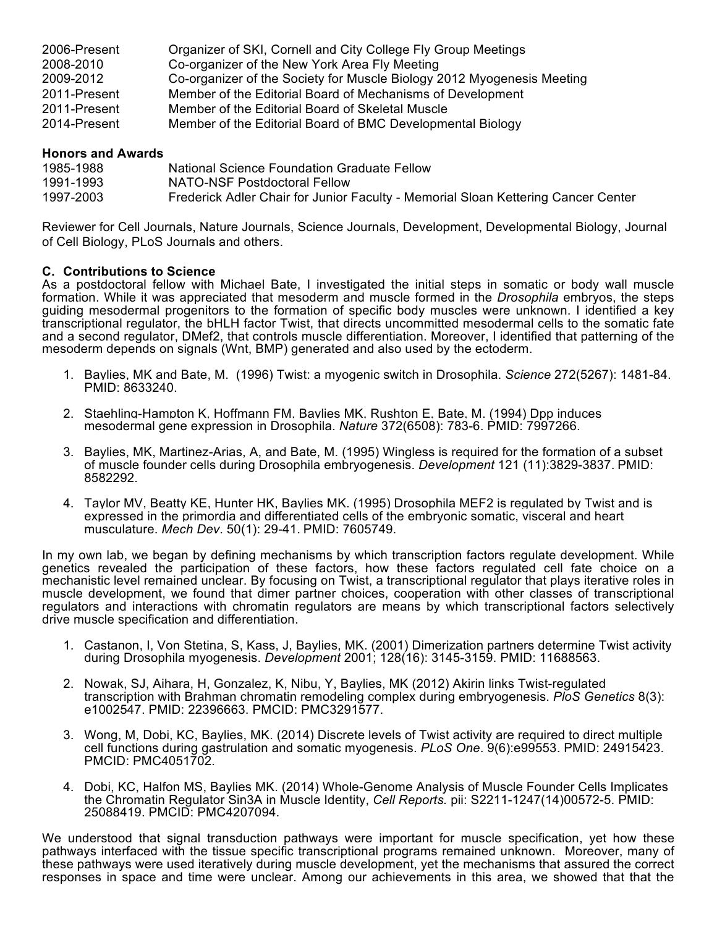| 2006-Present | Organizer of SKI, Cornell and City College Fly Group Meetings          |
|--------------|------------------------------------------------------------------------|
| 2008-2010    | Co-organizer of the New York Area Fly Meeting                          |
| 2009-2012    | Co-organizer of the Society for Muscle Biology 2012 Myogenesis Meeting |
| 2011-Present | Member of the Editorial Board of Mechanisms of Development             |
| 2011-Present | Member of the Editorial Board of Skeletal Muscle                       |
| 2014-Present | Member of the Editorial Board of BMC Developmental Biology             |

### **Honors and Awards**

| 1985-1988 | National Science Foundation Graduate Fellow                                       |
|-----------|-----------------------------------------------------------------------------------|
| 1991-1993 | NATO-NSF Postdoctoral Fellow                                                      |
| 1997-2003 | Frederick Adler Chair for Junior Faculty - Memorial Sloan Kettering Cancer Center |

Reviewer for Cell Journals, Nature Journals, Science Journals, Development, Developmental Biology, Journal of Cell Biology, PLoS Journals and others.

#### **C. Contributions to Science**

As a postdoctoral fellow with Michael Bate, I investigated the initial steps in somatic or body wall muscle formation. While it was appreciated that mesoderm and muscle formed in the *Drosophila* embryos, the steps guiding mesodermal progenitors to the formation of specific body muscles were unknown. I identified a key transcriptional regulator, the bHLH factor Twist, that directs uncommitted mesodermal cells to the somatic fate and a second regulator, DMef2, that controls muscle differentiation. Moreover, I identified that patterning of the mesoderm depends on signals (Wnt, BMP) generated and also used by the ectoderm.

- 1. Baylies, MK and Bate, M. (1996) Twist: a myogenic switch in Drosophila. *Science* 272(5267): 1481-84. PMID: 8633240.
- 2. Staehling-Hampton K, Hoffmann FM, Baylies MK, Rushton E, Bate, M. (1994) Dpp induces mesodermal gene expression in Drosophila. *Nature* 372(6508): 783-6. PMID: 7997266.
- 3. Baylies, MK, Martinez-Arias, A, and Bate, M. (1995) Wingless is required for the formation of a subset of muscle founder cells during Drosophila embryogenesis. *Development* 121 (11):3829-3837. PMID: 8582292.
- 4. Taylor MV, Beatty KE, Hunter HK, Baylies MK. (1995) Drosophila MEF2 is regulated by Twist and is expressed in the primordia and differentiated cells of the embryonic somatic, visceral and heart musculature. *Mech Dev*. 50(1): 29-41. PMID: 7605749.

In my own lab, we began by defining mechanisms by which transcription factors regulate development. While genetics revealed the participation of these factors, how these factors regulated cell fate choice on a mechanistic level remained unclear. By focusing on Twist, a transcriptional regulator that plays iterative roles in muscle development, we found that dimer partner choices, cooperation with other classes of transcriptional regulators and interactions with chromatin regulators are means by which transcriptional factors selectively drive muscle specification and differentiation.

- 1. Castanon, I, Von Stetina, S, Kass, J, Baylies, MK. (2001) Dimerization partners determine Twist activity during Drosophila myogenesis. *Development* 2001; 128(16): 3145-3159. PMID: 11688563.
- 2. Nowak, SJ, Aihara, H, Gonzalez, K, Nibu, Y, Baylies, MK (2012) Akirin links Twist-regulated transcription with Brahman chromatin remodeling complex during embryogenesis. *PloS Genetics* 8(3): e1002547. PMID: 22396663. PMCID: PMC3291577.
- 3. Wong, M, Dobi, KC, Baylies, MK. (2014) Discrete levels of Twist activity are required to direct multiple cell functions during gastrulation and somatic myogenesis. *PLoS One*. 9(6):e99553. PMID: 24915423. PMCID: PMC4051702.
- 4. Dobi, KC, Halfon MS, Baylies MK. (2014) Whole-Genome Analysis of Muscle Founder Cells Implicates the Chromatin Regulator Sin3A in Muscle Identity, *Cell Reports.* pii: S2211-1247(14)00572-5. PMID: 25088419. PMCID: PMC4207094.

We understood that signal transduction pathways were important for muscle specification, yet how these pathways interfaced with the tissue specific transcriptional programs remained unknown. Moreover, many of these pathways were used iteratively during muscle development, yet the mechanisms that assured the correct responses in space and time were unclear. Among our achievements in this area, we showed that that the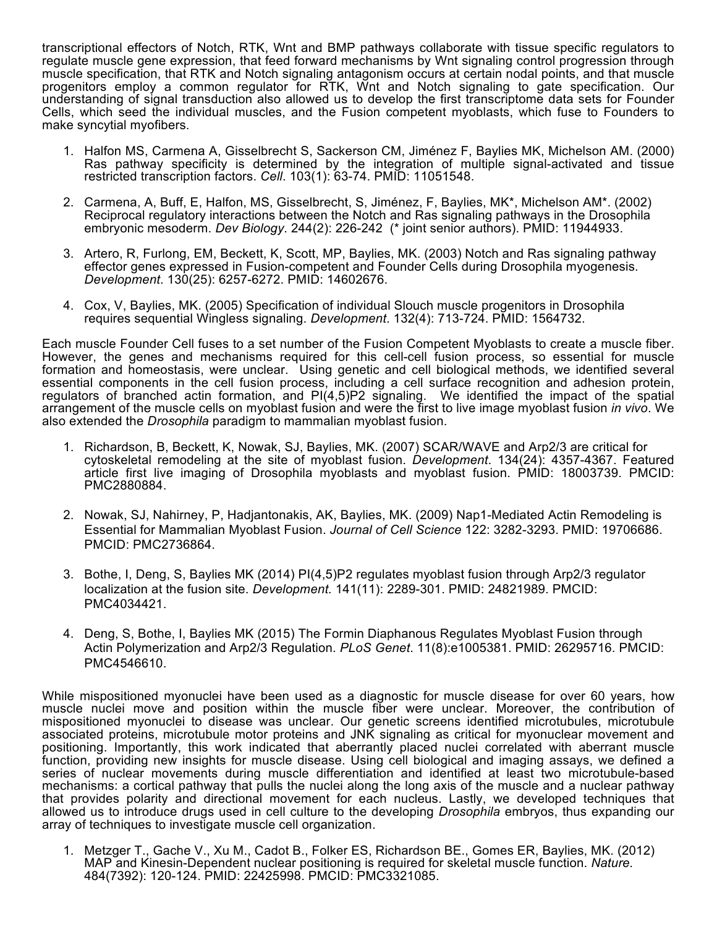transcriptional effectors of Notch, RTK, Wnt and BMP pathways collaborate with tissue specific regulators to regulate muscle gene expression, that feed forward mechanisms by Wnt signaling control progression through muscle specification, that RTK and Notch signaling antagonism occurs at certain nodal points, and that muscle progenitors employ a common regulator for RTK, Wnt and Notch signaling to gate specification. Our understanding of signal transduction also allowed us to develop the first transcriptome data sets for Founder Cells, which seed the individual muscles, and the Fusion competent myoblasts, which fuse to Founders to make syncytial myofibers.

- 1. Halfon MS, Carmena A, Gisselbrecht S, Sackerson CM, Jiménez F, Baylies MK, Michelson AM. (2000) Ras pathway specificity is determined by the integration of multiple signal-activated and tissue restricted transcription factors. *Cell*. 103(1): 63-74. PMID: 11051548.
- 2. Carmena, A, Buff, E, Halfon, MS, Gisselbrecht, S, Jiménez, F, Baylies, MK\*, Michelson AM\*. (2002) Reciprocal regulatory interactions between the Notch and Ras signaling pathways in the Drosophila embryonic mesoderm. *Dev Biology*. 244(2): 226-242 (\* joint senior authors). PMID: 11944933.
- 3. Artero, R, Furlong, EM, Beckett, K, Scott, MP, Baylies, MK. (2003) Notch and Ras signaling pathway effector genes expressed in Fusion-competent and Founder Cells during Drosophila myogenesis. *Development*. 130(25): 6257-6272. PMID: 14602676.
- 4. Cox, V, Baylies, MK. (2005) Specification of individual Slouch muscle progenitors in Drosophila requires sequential Wingless signaling. *Development*. 132(4): 713-724. PMID: 1564732.

Each muscle Founder Cell fuses to a set number of the Fusion Competent Myoblasts to create a muscle fiber. However, the genes and mechanisms required for this cell-cell fusion process, so essential for muscle formation and homeostasis, were unclear. Using genetic and cell biological methods, we identified several essential components in the cell fusion process, including a cell surface recognition and adhesion protein, regulators of branched actin formation, and PI(4,5)P2 signaling. We identified the impact of the spatial arrangement of the muscle cells on myoblast fusion and were the first to live image myoblast fusion *in vivo*. We also extended the *Drosophila* paradigm to mammalian myoblast fusion.

- 1. Richardson, B, Beckett, K, Nowak, SJ, Baylies, MK. (2007) SCAR/WAVE and Arp2/3 are critical for cytoskeletal remodeling at the site of myoblast fusion. *Development*. 134(24): 4357-4367. Featured article first live imaging of Drosophila myoblasts and myoblast fusion. PMID: 18003739. PMCID: PMC2880884.
- 2. Nowak, SJ, Nahirney, P, Hadjantonakis, AK, Baylies, MK. (2009) Nap1-Mediated Actin Remodeling is Essential for Mammalian Myoblast Fusion. *Journal of Cell Science* 122: 3282-3293. PMID: 19706686. PMCID: PMC2736864.
- 3. Bothe, I, Deng, S, Baylies MK (2014) PI(4,5)P2 regulates myoblast fusion through Arp2/3 regulator localization at the fusion site. *Development.* 141(11): 2289-301. PMID: 24821989. PMCID: PMC4034421.
- 4. Deng, S, Bothe, I, Baylies MK (2015) The Formin Diaphanous Regulates Myoblast Fusion through Actin Polymerization and Arp2/3 Regulation. *PLoS Genet*. 11(8):e1005381. PMID: 26295716. PMCID: PMC4546610.

While mispositioned myonuclei have been used as a diagnostic for muscle disease for over 60 years, how muscle nuclei move and position within the muscle fiber were unclear. Moreover, the contribution of mispositioned myonuclei to disease was unclear. Our genetic screens identified microtubules, microtubule associated proteins, microtubule motor proteins and JNK signaling as critical for myonuclear movement and positioning. Importantly, this work indicated that aberrantly placed nuclei correlated with aberrant muscle function, providing new insights for muscle disease. Using cell biological and imaging assays, we defined a series of nuclear movements during muscle differentiation and identified at least two microtubule-based mechanisms: a cortical pathway that pulls the nuclei along the long axis of the muscle and a nuclear pathway that provides polarity and directional movement for each nucleus. Lastly, we developed techniques that allowed us to introduce drugs used in cell culture to the developing *Drosophila* embryos, thus expanding our array of techniques to investigate muscle cell organization.

1. Metzger T., Gache V., Xu M., Cadot B., Folker ES, Richardson BE., Gomes ER, Baylies, MK. (2012) MAP and Kinesin-Dependent nuclear positioning is required for skeletal muscle function. *Nature.* 484(7392): 120-124. PMID: 22425998. PMCID: PMC3321085.